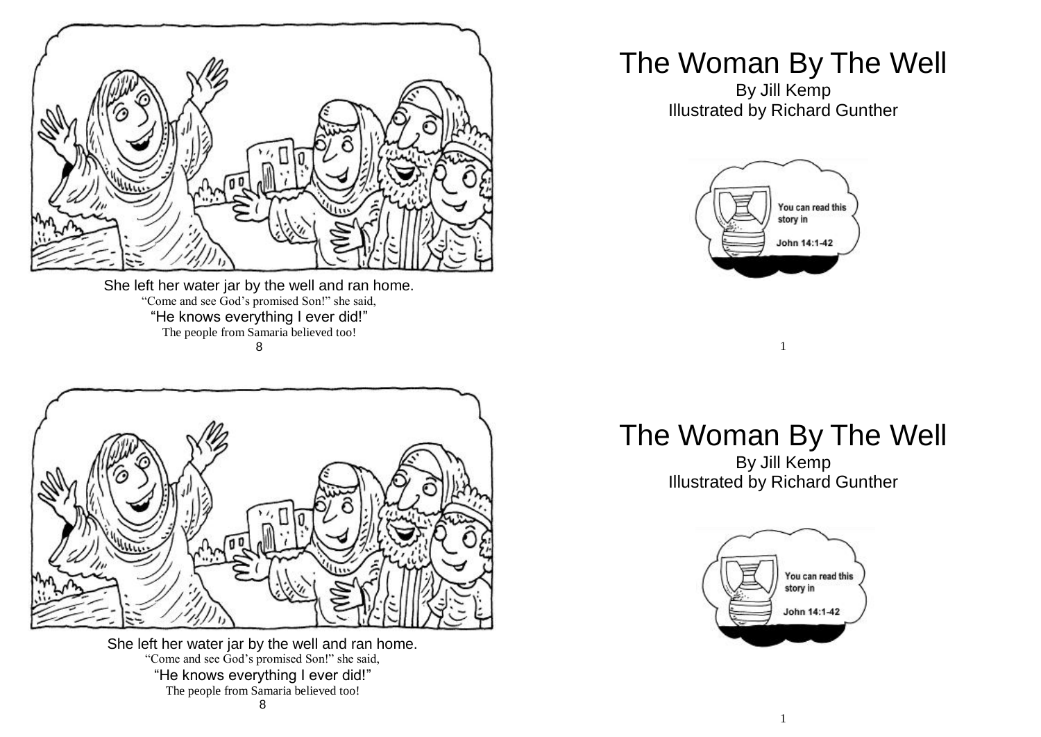

She left her water jar by the well and ran home. "Come and see God's promised Son!" she said, "He knows everything I ever did!" The people from Samaria believed too! 8



She left her water jar by the well and ran home. "Come and see God's promised Son!" she said, "He knows everything I ever did!" The people from Samaria believed too! 8

## The Woman By The Well

By Jill Kemp Illustrated by Richard Gunther



## The Woman By The Well

1

By Jill Kemp Illustrated by Richard Gunther

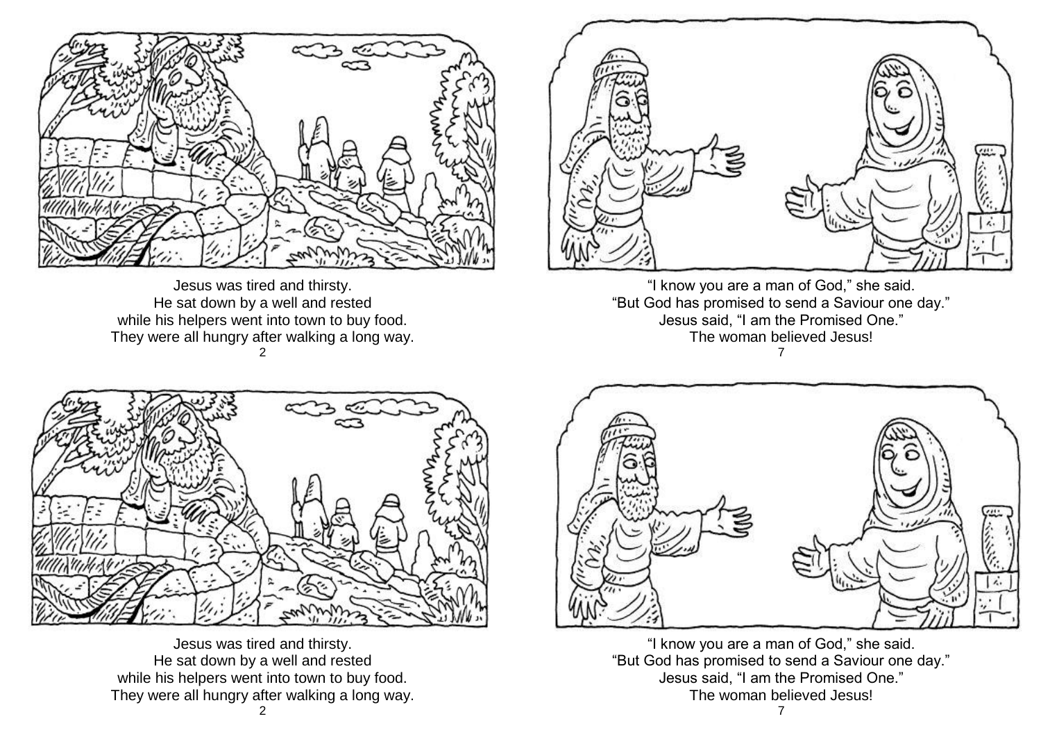

Jesus was tired and thirsty. He sat down by a well and rested while his helpers went into town to buy food. They were all hungry after walking a long way. 2



"I know you are a man of God," she said. "But God has promised to send a Saviour one day." Jesus said, "I am the Promised One." The woman believed Jesus! 7



Jesus was tired and thirsty. He sat down by a well and rested while his helpers went into town to buy food. They were all hungry after walking a long way.



"I know you are a man of God," she said. "But God has promised to send a Saviour one day." Jesus said, "I am the Promised One." The woman believed Jesus!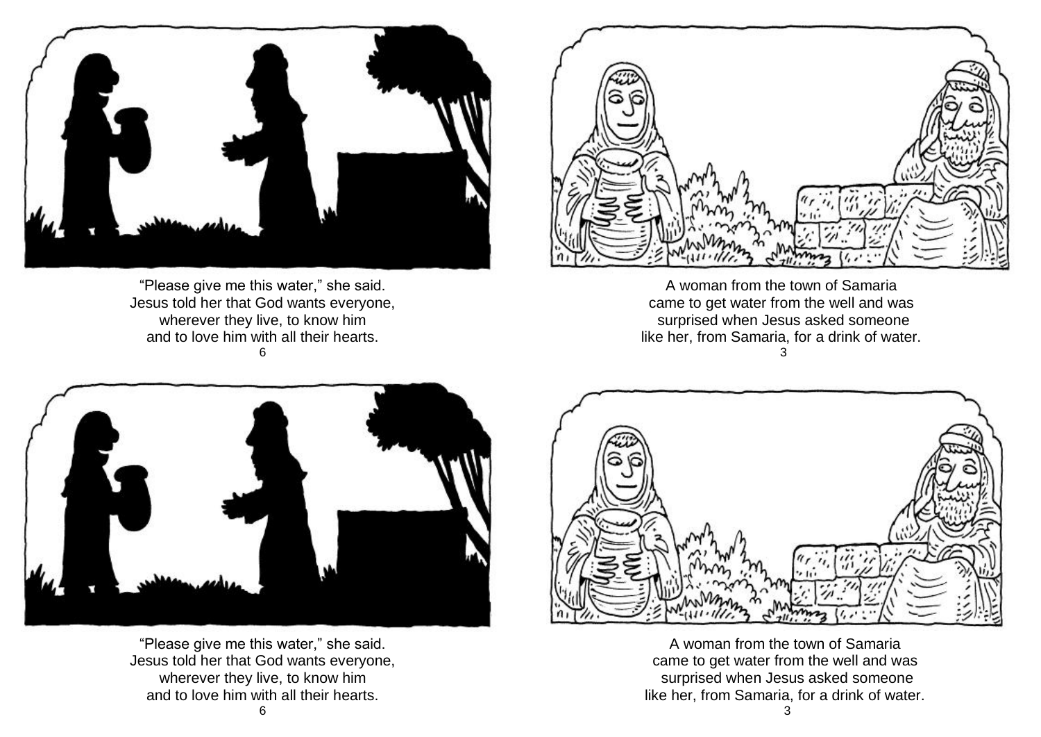

"Please give me this water," she said. Jesus told her that God wants everyone, wherever they live, to know him and to love him with all their hearts. 6



A woman from the town of Samaria came to get water from the well and was surprised when Jesus asked someone like her, from Samaria, for a drink of water. 3



"Please give me this water," she said. Jesus told her that God wants everyone, wherever they live, to know him and to love him with all their hearts.



A woman from the town of Samaria came to get water from the well and was surprised when Jesus asked someone like her, from Samaria, for a drink of water.